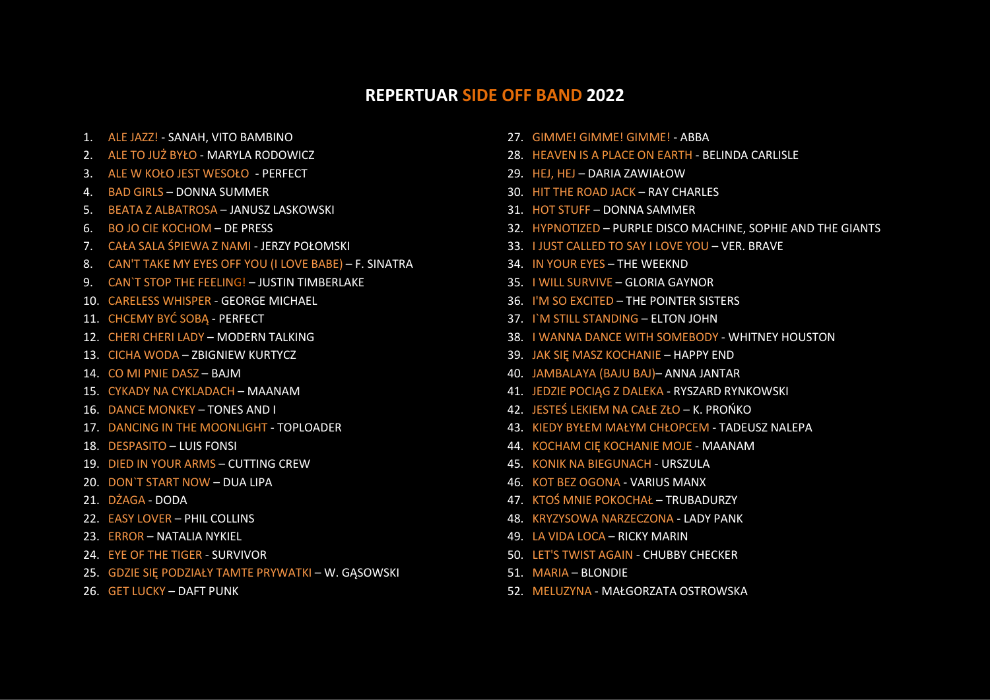## **REPERTUAR SIDE OFF BAND 2022**

- 1. ALE JAZZ! SANAH, VITO BAMBINO
- 2. ALE TO JUŻ BYŁO MARYLA RODOWICZ
- 3. ALE W KOŁO JEST WESOŁO PERFECT
- 4. BAD GIRLS DONNA SUMMER
- 5. BEATA Z ALBATROSA JANUSZ LASKOWSKI
- 6. BO JO CIE KOCHOM DE PRESS
- 7. CAŁA SALA ŚPIEWA Z NAMI -JERZY POŁOMSKI
- 8. CAN'T TAKE MY EYES OFF YOU (I LOVE BABE) F. SINATRA
- 9. CAN`T STOP THE FEELING! JUSTIN TIMBERLAKE
- 10. CARELESS WHISPER GEORGE MICHAEL
- 11. CHCEMY BYĆ SOBĄ PERFECT
- 12. CHERI CHERI LADY MODERN TALKING
- 13. CICHA WODA ZBIGNIEW KURTYCZ
- 14. CO MI PNIE DASZ BAJM
- 15. CYKADY NA CYKLADACH MAANAM
- 16. DANCE MONKEY TONES AND I
- 17. DANCING IN THE MOONLIGHT TOPLOADER
- 18. DESPASITO LUIS FONSI
- 19. DIED IN YOUR ARMS CUTTING CREW
- 20. DON`T START NOW DUA LIPA
- 21. DŻAGA DODA
- 22. EASY LOVER PHIL COLLINS
- 23. ERROR NATALIA NYKIEL
- 24. EYE OF THE TIGER SURVIVOR
- 25. GDZIE SIĘ PODZIAŁY TAMTE PRYWATKI– W. GĄSOWSKI
- 26. GET LUCKY DAFT PUNK
- 27. GIMME! GIMME! GIMME! ABBA
- 28. HEAVEN IS A PLACE ON EARTH BELINDA CARLISLE
- 29. HEJ, HEJ DARIA ZAWIAŁOW
- 30. HIT THE ROAD JACK RAY CHARLES
- 31. HOT STUFF DONNA SAMMER
- 32. HYPNOTIZED PURPLE DISCO MACHINE, SOPHIE AND THE GIANTS
- 33. I JUST CALLED TO SAY I LOVE YOU VER. BRAVE
- 34. IN YOUR EYES THE WEEKND
- 35. I WILL SURVIVE GLORIA GAYNOR
- 36. I'M SO EXCITED THE POINTER SISTERS
- 37. I`M STILL STANDING ELTON JOHN
- 38. I WANNA DANCE WITH SOMEBODY WHITNEY HOUSTON
- 39. JAK SIĘ MASZ KOCHANIE HAPPY END
- 40. JAMBALAYA (BAJU BAJ)– ANNA JANTAR
- 41. JEDZIE POCIĄG Z DALEKA RYSZARD RYNKOWSKI
- 42. JESTEŚ LEKIEM NA CAŁE ZŁO K. PROŃKO
- 43. KIEDY BYŁEM MAŁYM CHŁOPCEM TADEUSZ NALEPA
- 44. KOCHAM CIĘ KOCHANIE MOJE MAANAM
- 45. KONIK NA BIEGUNACH URSZULA
- 46. KOT BEZ OGONA VARIUS MANX
- 47. KTOŚ MNIE POKOCHAŁ TRUBADURZY
- 48. KRYZYSOWA NARZECZONA LADY PANK
- 49. LA VIDA LOCA RICKY MARIN
- 50. LET'S TWIST AGAIN -CHUBBY CHECKER
- 51. MARIA BLONDIE
- 52. MELUZYNA MAŁGORZATA OSTROWSKA